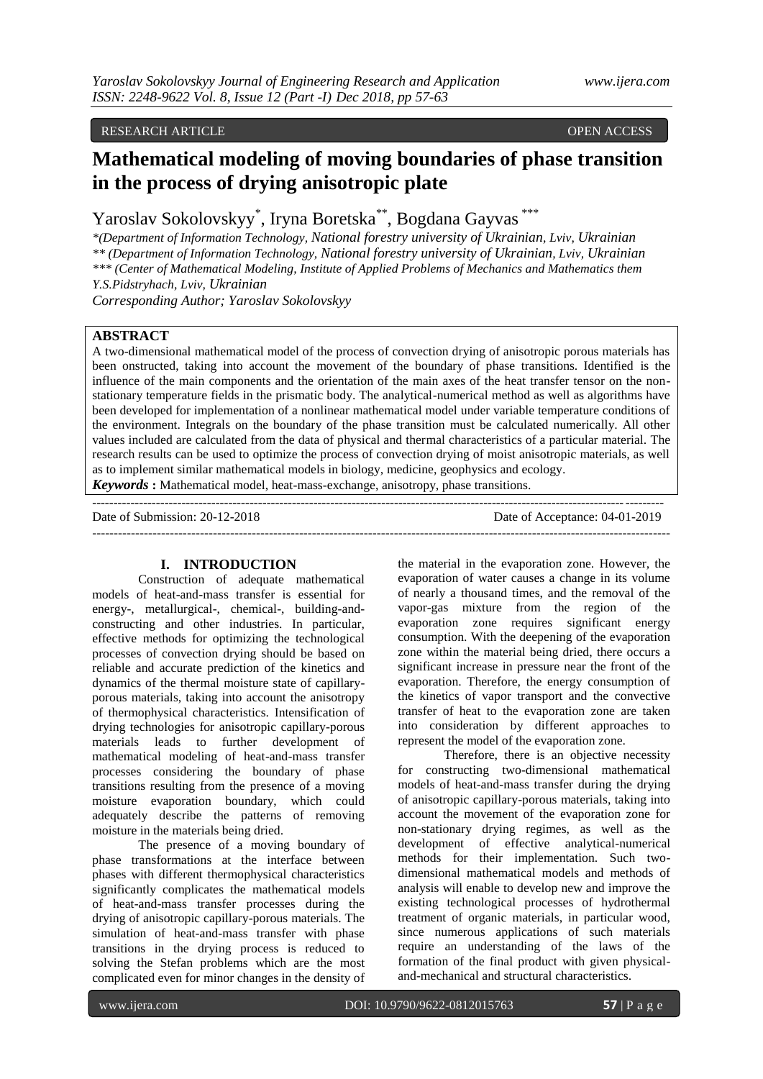## RESEARCH ARTICLE OPEN ACCESS

# **Mathematical modeling of moving boundaries of phase transition in the process of drying anisotropic plate**

Yaroslav Sokolovskyy\* , Iryna Boretska\*\* , Bogdana Gayvas \*\*\*

*\*(Department of Information Technology, National forestry university of Ukrainian, Lviv, Ukrainian \*\* (Department of Information Technology, National forestry university of Ukrainian, Lviv, Ukrainian \*\*\* (Center of Mathematical Modeling, Institute of Applied Problems of Mechanics and Mathematics them Y.S.Pidstryhach, Lviv, Ukrainian*

*Corresponding Author; Yaroslav Sokolovskyy*

## **ABSTRACT**

A two-dimensional mathematical model of the process of convection drying of anisotropic porous materials has been onstructed, taking into account the movement of the boundary of phase transitions. Identified is the influence of the main components and the orientation of the main axes of the heat transfer tensor on the nonstationary temperature fields in the prismatic body. The analytical-numerical method as well as algorithms have been developed for implementation of a nonlinear mathematical model under variable temperature conditions of the environment. Integrals on the boundary of the phase transition must be calculated numerically. All other values included are calculated from the data of physical and thermal characteristics of a particular material. The research results can be used to optimize the process of convection drying of moist anisotropic materials, as well as to implement similar mathematical models in biology, medicine, geophysics and ecology.

--------------------------------------------------------------------------------------------------------------------------------------

*Keywords* **:** Mathematical model, heat-mass-exchange, anisotropy, phase transitions.

-------------------------------------------------------------------------------------------------------------------------------------- Date of Submission: 20-12-2018 Date of Acceptance: 04-01-2019

### **I. INTRODUCTION**

Construction of adequate mathematical models of heat-and-mass transfer is essential for energy-, metallurgical-, chemical-, building-andconstructing and other industries. In particular, effective methods for optimizing the technological processes of convection drying should be based on reliable and accurate prediction of the kinetics and dynamics of the thermal moisture state of capillaryporous materials, taking into account the anisotropy of thermophysical characteristics. Intensification of drying technologies for anisotropic capillary-porous materials leads to further development of mathematical modeling of heat-and-mass transfer processes considering the boundary of phase transitions resulting from the presence of a moving moisture evaporation boundary, which could adequately describe the patterns of removing moisture in the materials being dried.

The presence of a moving boundary of phase transformations at the interface between phases with different thermophysical characteristics significantly complicates the mathematical models of heat-and-mass transfer processes during the drying of anisotropic capillary-porous materials. The simulation of heat-and-mass transfer with phase transitions in the drying process is reduced to solving the Stefan problems which are the most complicated even for minor changes in the density of

the material in the evaporation zone. However, the evaporation of water causes a change in its volume of nearly a thousand times, and the removal of the vapor-gas mixture from the region of the evaporation zone requires significant energy consumption. With the deepening of the evaporation zone within the material being dried, there occurs a significant increase in pressure near the front of the evaporation. Therefore, the energy consumption of the kinetics of vapor transport and the convective transfer of heat to the evaporation zone are taken into consideration by different approaches to represent the model of the evaporation zone.

Therefore, there is an objective necessity for constructing two-dimensional mathematical models of heat-and-mass transfer during the drying of anisotropic capillary-porous materials, taking into account the movement of the evaporation zone for non-stationary drying regimes, as well as the development of effective analytical-numerical methods for their implementation. Such twodimensional mathematical models and methods of analysis will enable to develop new and improve the existing technological processes of hydrothermal treatment of organic materials, in particular wood, since numerous applications of such materials require an understanding of the laws of the formation of the final product with given physicaland-mechanical and structural characteristics.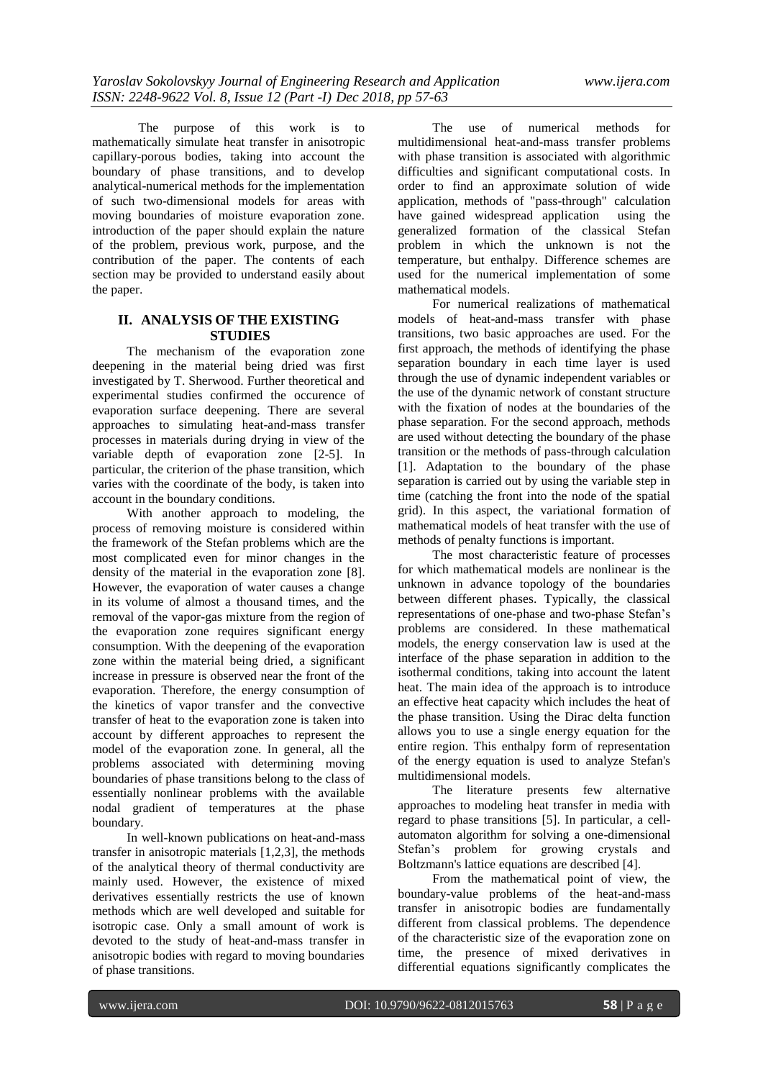The purpose of this work is to mathematically simulate heat transfer in anisotropic capillary-porous bodies, taking into account the boundary of phase transitions, and to develop analytical-numerical methods for the implementation of such two-dimensional models for areas with moving boundaries of moisture evaporation zone. introduction of the paper should explain the nature of the problem, previous work, purpose, and the contribution of the paper. The contents of each section may be provided to understand easily about the paper.

## **II. ANALYSIS OF THE EXISTING STUDIES**

The mechanism of the evaporation zone deepening in the material being dried was first investigated by T. Sherwood. Further theoretical and experimental studies confirmed the occurence of evaporation surface deepening. There are several approaches to simulating heat-and-mass transfer processes in materials during drying in view of the variable depth of evaporation zone [2-5]. In particular, the criterion of the phase transition, which varies with the coordinate of the body, is taken into account in the boundary conditions.

With another approach to modeling, the process of removing moisture is considered within the framework of the Stefan problems which are the most complicated even for minor changes in the density of the material in the evaporation zone [8]. However, the evaporation of water causes a change in its volume of almost a thousand times, and the removal of the vapor-gas mixture from the region of the evaporation zone requires significant energy consumption. With the deepening of the evaporation zone within the material being dried, a significant increase in pressure is observed near the front of the evaporation. Therefore, the energy consumption of the kinetics of vapor transfer and the convective transfer of heat to the evaporation zone is taken into account by different approaches to represent the model of the evaporation zone. In general, all the problems associated with determining moving boundaries of phase transitions belong to the class of essentially nonlinear problems with the available nodal gradient of temperatures at the phase boundary.

In well-known publications on heat-and-mass transfer in anisotropic materials [1,2,3], the methods of the analytical theory of thermal conductivity are mainly used. However, the existence of mixed derivatives essentially restricts the use of known methods which are well developed and suitable for isotropic case. Only a small amount of work is devoted to the study of heat-and-mass transfer in anisotropic bodies with regard to moving boundaries of phase transitions.

The use of numerical methods for multidimensional heat-and-mass transfer problems with phase transition is associated with algorithmic difficulties and significant computational costs. In order to find an approximate solution of wide application, methods of "pass-through" calculation have gained widespread application using the generalized formation of the classical Stefan problem in which the unknown is not the temperature, but enthalpy. Difference schemes are used for the numerical implementation of some mathematical models.

For numerical realizations of mathematical models of heat-and-mass transfer with phase transitions, two basic approaches are used. For the first approach, the methods of identifying the phase separation boundary in each time layer is used through the use of dynamic independent variables or the use of the dynamic network of constant structure with the fixation of nodes at the boundaries of the phase separation. For the second approach, methods are used without detecting the boundary of the phase transition or the methods of pass-through calculation [1]. Adaptation to the boundary of the phase separation is carried out by using the variable step in time (catching the front into the node of the spatial grid). In this aspect, the variational formation of mathematical models of heat transfer with the use of methods of penalty functions is important.

The most characteristic feature of processes for which mathematical models are nonlinear is the unknown in advance topology of the boundaries between different phases. Typically, the classical representations of one-phase and two-phase Stefan's problems are considered. In these mathematical models, the energy conservation law is used at the interface of the phase separation in addition to the isothermal conditions, taking into account the latent heat. The main idea of the approach is to introduce an effective heat capacity which includes the heat of the phase transition. Using the Dirac delta function allows you to use a single energy equation for the entire region. This enthalpy form of representation of the energy equation is used to analyze Stefan's multidimensional models.

The literature presents few alternative approaches to modeling heat transfer in media with regard to phase transitions [5]. In particular, a cellautomaton algorithm for solving a one-dimensional Stefan's problem for growing crystals and Boltzmann's lattice equations are described [4].

From the mathematical point of view, the boundary-value problems of the heat-and-mass transfer in anisotropic bodies are fundamentally different from classical problems. The dependence of the characteristic size of the evaporation zone on time, the presence of mixed derivatives in differential equations significantly complicates the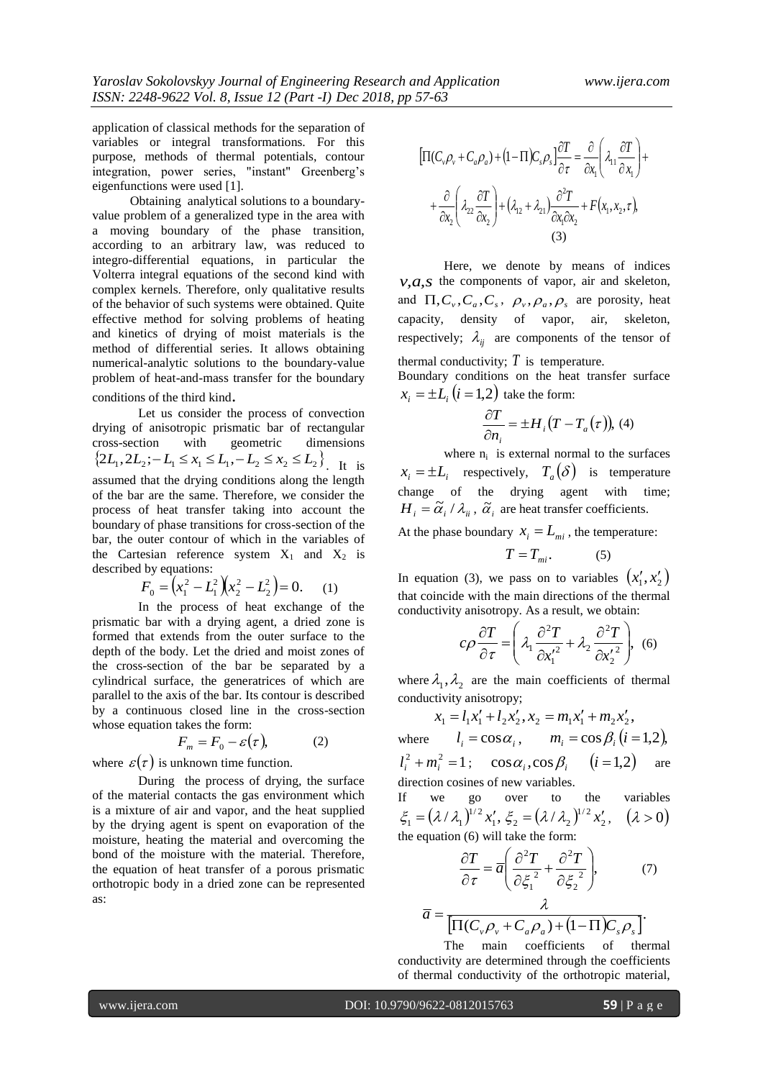application of classical methods for the separation of variables or integral transformations. For this purpose, methods of thermal potentials, contour integration, power series, "instant" Greenberg's eigenfunctions were used [1].

Obtaining analytical solutions to a boundaryvalue problem of a generalized type in the area with a moving boundary of the phase transition, according to an arbitrary law, was reduced to integro-differential equations, in particular the Volterra integral equations of the second kind with complex kernels. Therefore, only qualitative results of the behavior of such systems were obtained. Quite effective method for solving problems of heating and kinetics of drying of moist materials is the method of differential series. It allows obtaining numerical-analytic solutions to the boundary-value problem of heat-and-mass transfer for the boundary conditions of the third kind.

Let us consider the process of convection drying of anisotropic prismatic bar of rectangular<br>cross-section with geometric dimensions cross-section with geometric dimensions  $\{2L_1, 2L_2; -L_1 \le x_1 \le L_1, -L_2 \le x_2 \le L_2\}$ . It is assumed that the drying conditions along the length of the bar are the same. Therefore, we consider the process of heat transfer taking into account the boundary of phase transitions for cross-section of the bar, the outer contour of which in the variables of the Cartesian reference system  $X_1$  and  $X_2$  is described by equations:

$$
F_0 = \left(x_1^2 - L_1^2\right)\left(x_2^2 - L_2^2\right) = 0. \tag{1}
$$

In the process of heat exchange of the prismatic bar with a drying agent, a dried zone is formed that extends from the outer surface to the depth of the body. Let the dried and moist zones of the cross-section of the bar be separated by a cylindrical surface, the generatrices of which are parallel to the axis of the bar. Its contour is described by a continuous closed line in the cross-section whose equation takes the form:

$$
F_m = F_0 - \varepsilon(\tau), \tag{2}
$$

where  $\varepsilon(\tau)$  is unknown time function.

During the process of drying, the surface of the material contacts the gas environment which is a mixture of air and vapor, and the heat supplied by the drying agent is spent on evaporation of the moisture, heating the material and overcoming the bond of the moisture with the material. Therefore, the equation of heat transfer of a porous prismatic orthotropic body in a dried zone can be represented as:

$$
\left[\Pi(C_v\rho_v + C_a\rho_a) + (1-\Pi)C_s\rho_s\right]\frac{\partial T}{\partial \tau} = \frac{\partial}{\partial x_1}\left(\lambda_{11}\frac{\partial T}{\partial x_1}\right) + \frac{\partial}{\partial x_2}\left(\lambda_{22}\frac{\partial T}{\partial x_2}\right) + (\lambda_{12} + \lambda_{21})\frac{\partial^2 T}{\partial x_1 \partial x_2} + F(x_1, x_2, \tau),
$$
\n(3)

Here, we denote by means of indices  $v, a, s$  the components of vapor, air and skeleton, and  $\Pi$ ,  $C_v$ ,  $C_a$ ,  $C_s$ ,  $\rho_v$ ,  $\rho_a$ ,  $\rho_s$  are porosity, heat capacity, density of vapor, air, skeleton, respectively;  $\lambda_{ij}$  are components of the tensor of thermal conductivity;  $T$  is temperature. Boundary conditions on the heat transfer surface

 $x_i = \pm L_i$   $(i = 1,2)$  take the form:

$$
\frac{\partial T}{\partial n_i} = \pm H_i (T - T_a(\tau)), (4)
$$

where  $n_i$  is external normal to the surfaces  $x_i = \pm L_i$  respectively,  $T_a(\delta)$  is temperature change of the drying agent with time;  $H_i = \tilde{\alpha}_i / \lambda_{ii}$ ,  $\tilde{\alpha}_i$  are heat transfer coefficients.

At the phase boundary  $x_i = L_{mi}$ , the temperature:

$$
T = T_{mi}.\tag{5}
$$

In equation (3), we pass on to variables  $(x'_1, x'_2)$ that coincide with the main directions of the thermal conductivity anisotropy. As a result, we obtain:

$$
c\rho \frac{\partial T}{\partial \tau} = \left(\lambda_1 \frac{\partial^2 T}{\partial x_1^2} + \lambda_2 \frac{\partial^2 T}{\partial x_2^2}\right), \tag{6}
$$

where  $\lambda_1, \lambda_2$  are the main coefficients of thermal conductivity anisotropy;

 $x_1 = l_1 x_1' + l_2 x_2', x_2 = m_1 x_1' + m_2 x_2',$ where  $l_i = \cos \alpha_i$ ,  $m_i = \cos \beta_i$   $(i = 1,2)$ ,  $l_i^2 + m_i^2 = 1$ ;  $\cos \alpha_i, \cos \beta_i$   $(i = 1,2)$  are direction cosines of new variables.

If we go over to the variables  $(\lambda/\lambda_1)^{1/2} x_1', \xi_2 = (\lambda/\lambda_2)^{1/2} x_2'$  $v_1$ , 52  $-$  (1.1  $v_2$ )  $\xi_1 = (\lambda / \lambda_1)^{1/2} x_1', \xi_2 = (\lambda / \lambda_2)^{1/2} x_2', \quad (\lambda > 0)$ the equation (6) will take the form:

$$
\frac{\partial T}{\partial \tau} = \overline{a} \left( \frac{\partial^2 T}{\partial \xi_1^2} + \frac{\partial^2 T}{\partial \xi_2^2} \right), \tag{7}
$$

$$
\overline{a} = \frac{\lambda}{\left[\Pi(C_v \rho_v + C_a \rho_a) + (1-\Pi)C_s \rho_s\right]}.
$$

The main coefficients of thermal conductivity are determined through the coefficients of thermal conductivity of the orthotropic material,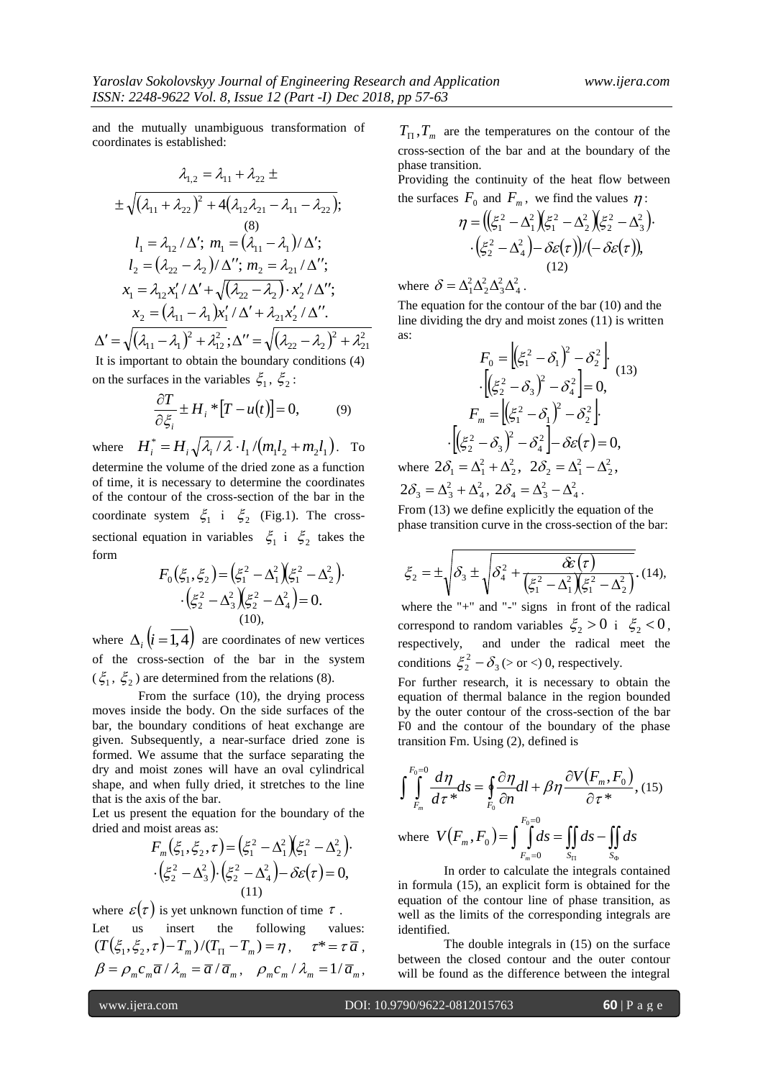and the mutually unambiguous transformation of coordinates is established:

$$
\lambda_{1,2} = \lambda_{11} + \lambda_{22} \pm
$$
\n
$$
\pm \sqrt{(\lambda_{11} + \lambda_{22})^2 + 4(\lambda_{12}\lambda_{21} - \lambda_{11} - \lambda_{22})};
$$
\n(8)  
\n
$$
l_1 = \lambda_{12} / \Delta'; \ m_1 = (\lambda_{11} - \lambda_1) / \Delta';
$$
\n
$$
l_2 = (\lambda_{22} - \lambda_2) / \Delta''; \ m_2 = \lambda_{21} / \Delta'';
$$
\n
$$
x_1 = \lambda_{12} x_1' / \Delta' + \sqrt{(\lambda_{22} - \lambda_2)} \cdot x_2' / \Delta'';
$$
\n
$$
x_2 = (\lambda_{11} - \lambda_1) x_1' / \Delta' + \lambda_{21} x_2' / \Delta''.
$$

 $(\lambda_{11} - \lambda_1)^2 + \lambda_{12}^2$ ;  $\Delta'' = \sqrt{(\lambda_{22} - \lambda_2)^2 + \lambda_{22}^2}$ 21 2  $\frac{22}{2}$   $\frac{22}{2}$ 2 12  $\Delta'=\sqrt{\left( \mathcal{\lambda}_{11}-\mathcal{\lambda}_1\right)^2 + \mathcal{\lambda}_{12}^2}$  ;  $\Delta''=\sqrt{\left( \mathcal{\lambda}_{22}-\mathcal{\lambda}_2\right)^2 + \mathcal{\lambda}_2^2}$ It is important to obtain the boundary conditions (4) on the surfaces in the variables  $\xi_1$ ,  $\xi_2$ :

$$
\frac{\partial T}{\partial \xi_i} \pm H_i * [T - u(t)] = 0, \tag{9}
$$

where  $H_i^* = H_i \sqrt{\lambda_i / \lambda \cdot l_1 / (m_1 l_2 + m_2 l_1)}$ . To determine the volume of the dried zone as a function of time, it is necessary to determine the coordinates of the contour of the cross-section of the bar in the coordinate system  $\xi_1$  i  $\xi_2$  (Fig.1). The crosssectional equation in variables  $\xi_1$  i  $\xi_2$  takes the form

$$
F_0(\xi_1, \xi_2) = (\xi_1^2 - \Delta_1^2)(\xi_1^2 - \Delta_2^2).
$$
  
\n
$$
\cdot (\xi_2^2 - \Delta_3^2)(\xi_2^2 - \Delta_4^2) = 0.
$$
  
\n(10),

where  $\Delta_i$   $(i=1,4)$  are coordinates of new vertices of the cross-section of the bar in the system  $(\xi_1, \xi_2)$  are determined from the relations (8).

From the surface (10), the drying process moves inside the body. On the side surfaces of the bar, the boundary conditions of heat exchange are given. Subsequently, a near-surface dried zone is formed. We assume that the surface separating the dry and moist zones will have an oval cylindrical shape, and when fully dried, it stretches to the line that is the axis of the bar.

Let us present the equation for the boundary of the dried and moist areas as:

$$
F_m(\xi_1, \xi_2, \tau) = (\xi_1^2 - \Delta_1^2)(\xi_1^2 - \Delta_2^2).
$$
  
\n
$$
\cdot (\xi_2^2 - \Delta_3^2) \cdot (\xi_2^2 - \Delta_4^2) - \delta \varepsilon(\tau) = 0,
$$
  
\n(11)

where  $\varepsilon(\tau)$  is yet unknown function of time  $\tau$ .

Let us insert the following values:  $(T(\xi_1, \xi_2, \tau) - T_m)/(T_{\Pi} - T_m) = \eta$ ,  $\tau^* = \tau \overline{a}$ ,  $\beta = \rho_m c_m \overline{a} / \lambda_m = \overline{a} / \overline{a}_m$ ,  $\rho_m c_m / \lambda_m = 1 / \overline{a}_m$ ,

 $T_{\Pi}$ ,  $T_m$  are the temperatures on the contour of the cross-section of the bar and at the boundary of the phase transition.

Providing the continuity of the heat flow between the surfaces  $F_0$  and  $F_m$ , we find the values  $\eta$ :

$$
\eta = \left( \left( \xi_1^2 - \Delta_1^2 \right) \left( \xi_1^2 - \Delta_2^2 \right) \left( \xi_2^2 - \Delta_3^2 \right) \cdot \left( \xi_2^2 - \Delta_4^2 \right) - \delta \varepsilon(\tau) \right) / \left( - \delta \varepsilon(\tau) \right),
$$
\n(12)

where  $\delta = \Delta_1^2 \Delta_2^2 \Delta_3^2 \Delta_4^2$ 4 2 3 2 2  $\delta = \Delta_1^2 \Delta_2^2 \Delta_3^2 \Delta_4^2$ .

The equation for the contour of the bar (10) and the line dividing the dry and moist zones (11) is written as:

$$
F_0 = \left[ \left( \xi_1^2 - \delta_1 \right)^2 - \delta_2^2 \right] \cdot \left[ \left( \xi_2^2 - \delta_3 \right)^2 - \delta_4^2 \right] = 0,
$$
\n
$$
F_m = \left[ \left( \xi_1^2 - \delta_1 \right)^2 - \delta_2^2 \right] \cdot \left[ \left( \xi_2^2 - \delta_3 \right)^2 - \delta_4^2 \right] - \delta \varepsilon(\tau) = 0,
$$
\nwhere  $2\delta_1 = \Delta_1^2 + \Delta_2^2$ ,  $2\delta_2 = \Delta_1^2 - \Delta_2^2$ ,

2 4  $2\delta_3 = \Delta_3^2 + \Delta_4^2$ ,  $2\delta_4 = \Delta_3^2 - \Delta_4^2$ 4  $2\delta_4 = \Delta_3^2 - \Delta_4^2$ . From (13) we define explicitly the equation of the

phase transition curve in the cross-section of the bar:

$$
\xi_2 = \pm \sqrt{\delta_3 \pm \sqrt{\delta_4^2 + \frac{\hat{\mathcal{E}}(\tau)}{(\xi_1^2 - \Delta_1^2)(\xi_1^2 - \Delta_2^2)}}}. (14),
$$

where the "+" and "-" signs in front of the radical correspond to random variables  $\xi_2 > 0$  i  $\xi_2 < 0$ , respectively, and under the radical meet the conditions  $\xi_2^2 - \delta_3$  $\xi_2^2 - \delta_3$  (> or <) 0, respectively.

For further research, it is necessary to obtain the equation of thermal balance in the region bounded by the outer contour of the cross-section of the bar F0 and the contour of the boundary of the phase transition Fm. Using (2), defined is

$$
\int_{F_m}^{F_0=0} \frac{d\eta}{d\tau} d\tau = \oint_{F_0} \frac{\partial \eta}{\partial n} dl + \beta \eta \frac{\partial V(F_m, F_0)}{\partial \tau^*}, (15)
$$
  
where  $V(F_m, F_0) = \int_{F_m=0}^{F_0=0} ds = \iint_{S_{\Pi}} ds - \iint_{S_0} ds$ 

In order to calculate the integrals contained in formula (15), an explicit form is obtained for the equation of the contour line of phase transition, as well as the limits of the corresponding integrals are identified.

The double integrals in (15) on the surface between the closed contour and the outer contour will be found as the difference between the integral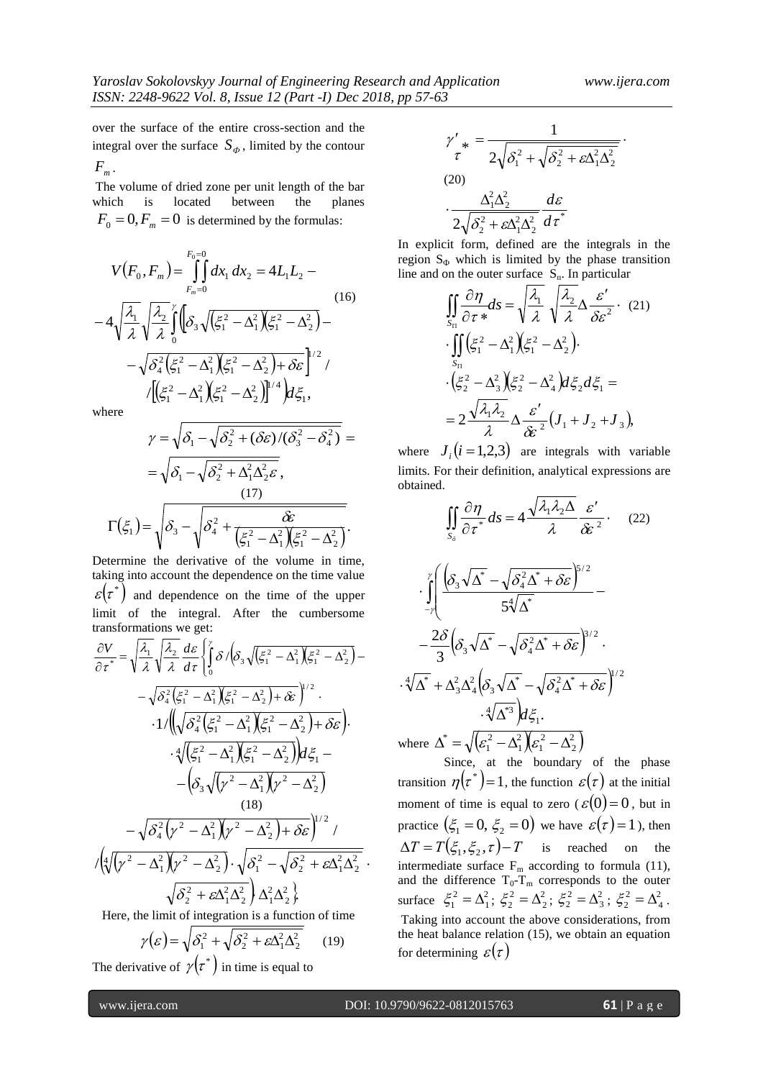over the surface of the entire cross-section and the integral over the surface  $S_{\phi}$ , limited by the contour  $F_{m}$  .

The volume of dried zone per unit length of the bar which is located between the planes  $F_0 = 0, F_m = 0$  is determined by the formulas:

$$
V(F_0, F_m) = \int_{F_m=0}^{F_0=0} dx_1 dx_2 = 4L_1L_2 -
$$
  
\n
$$
-4\sqrt{\frac{\lambda_1}{\lambda}}\sqrt{\frac{\lambda_2}{\lambda}}\int_{0}^{r} (\delta_3\sqrt{(\xi_1^2 - \Delta_1^2)(\xi_1^2 - \Delta_2^2)}) -
$$
  
\n
$$
-\sqrt{\delta_4^2(\xi_1^2 - \Delta_1^2)(\xi_1^2 - \Delta_2^2) + \delta \varepsilon} \Big|_{1/2}^{1/2} /
$$
  
\n
$$
/[(\xi_1^2 - \Delta_1^2)(\xi_1^2 - \Delta_2^2)]^{1/4} / d\xi_1,
$$

where

$$
\gamma = \sqrt{\delta_1 - \sqrt{\delta_2^2 + (\delta \varepsilon)/(\delta_3^2 - \delta_4^2)}} =
$$
  
=  $\sqrt{\delta_1 - \sqrt{\delta_2^2 + \Delta_1^2 \Delta_2^2 \varepsilon}},$   
(17)  

$$
\Gamma(\xi_1) = \sqrt{\delta_3 - \sqrt{\delta_4^2 + \frac{\delta \varepsilon}{(\xi_1^2 - \Delta_1^2)(\xi_1^2 - \Delta_2^2)}}.
$$

Determine the derivative of the volume in time, taking into account the dependence on the time value  $\varepsilon(\tau^*)$  and dependence on the time of the upper limit of the integral. After the cumbersome transformations we get:

$$
\frac{\partial V}{\partial \tau^*} = \sqrt{\frac{\lambda_1}{\lambda} \sqrt{\frac{\lambda_2}{\lambda} \frac{d\epsilon}{d\tau}} \int_0^{\gamma} \delta / (\delta_3 \sqrt{(\xi_1^2 - \Delta_1^2)(\xi_1^2 - \Delta_2^2)} - \sqrt{\delta_4^2 (\xi_1^2 - \Delta_1^2)(\xi_1^2 - \Delta_2^2) + \delta \epsilon})^{\frac{1}{2}}
$$
  
-  $\sqrt{\delta_4^2 (\xi_1^2 - \Delta_1^2)(\xi_1^2 - \Delta_2^2) + \delta \epsilon}$ .  
 $\frac{4}{\sqrt{(\xi_1^2 - \Delta_1^2)(\xi_1^2 - \Delta_2^2)}} d\xi_1 - \frac{(\delta_3 \sqrt{(\gamma^2 - \Delta_1^2)(\gamma^2 - \Delta_2^2)})}{(18)}$   
 $-\sqrt{\delta_4^2 (\gamma^2 - \Delta_1^2)(\gamma^2 - \Delta_2^2) + \delta \epsilon})^{\frac{1}{2}}$   
 $\sqrt{(\sqrt[4]{(\gamma^2 - \Delta_1^2)(\gamma^2 - \Delta_2^2)} \cdot \sqrt{\delta_1^2 - \sqrt{\delta_2^2 + \epsilon \Delta_1^2 \Delta_2^2})}$   
 $\sqrt{\delta_2^2 + \epsilon \Delta_1^2 \Delta_2^2} \Delta_2^2 \Delta_2^2}$ . Here, the limit of integration is a function of time

$$
\gamma(\varepsilon) = \sqrt{\delta_1^2 + \sqrt{\delta_2^2 + \varepsilon \Delta_1^2 \Delta_2^2}}
$$
 (19)

The derivative of  $\gamma(\tau^*)$  in time is equal to

$$
\gamma'_{*} = \frac{1}{2\sqrt{\delta_1^2 + \sqrt{\delta_2^2 + \varepsilon \Delta_1^2 \Delta_2^2}}}.
$$
\n(20)\n
$$
\cdot \frac{\Delta_1^2 \Delta_2^2}{2\sqrt{\delta_2^2 + \varepsilon \Delta_1^2 \Delta_2^2}} \frac{d\varepsilon}{d\tau^*}
$$

In explicit form, defined are the integrals in the region  $S_{\Phi}$  which is limited by the phase transition line and on the outer surface  $S_n$ . In particular

$$
\iint_{S_{\text{II}}} \frac{\partial \eta}{\partial \tau} dS = \sqrt{\frac{\lambda_1}{\lambda}} \sqrt{\frac{\lambda_2}{\lambda} \Delta \frac{\varepsilon'}{\delta \varepsilon^2}} \cdot (21)
$$
  
. 
$$
\iint_{S_{\text{II}}} (\xi_1^2 - \Delta_1^2) (\xi_1^2 - \Delta_2^2).
$$
  
. 
$$
\cdot (\xi_2^2 - \Delta_3^2) (\xi_2^2 - \Delta_4^2) d\xi_2 d\xi_1 =
$$
  
= 
$$
2 \frac{\sqrt{\lambda_1 \lambda_2}}{\lambda} \Delta \frac{\varepsilon'}{\delta \varepsilon^2} (J_1 + J_2 + J_3),
$$

where  $J_i$  ( $i = 1,2,3$ ) are integrals with variable limits. For their definition, analytical expressions are obtained.

$$
\iint_{S_{\delta}} \frac{\partial \eta}{\partial \tau} dS = 4 \frac{\sqrt{\lambda_1 \lambda_2 \Delta}}{\lambda} \frac{\varepsilon'}{\delta \varepsilon^2}.
$$
 (22)  

$$
\cdot \int_{-\gamma}^{\gamma} \left( \frac{\left( \delta_3 \sqrt{\Delta^*} - \sqrt{\delta_4^2 \Delta^* + \delta \varepsilon} \right)^{5/2}}{5 \sqrt[4]{\Delta^*}} - \frac{2 \delta}{3} \left( \delta_3 \sqrt{\Delta^*} - \sqrt{\delta_4^2 \Delta^* + \delta \varepsilon} \right)^{3/2}.
$$

$$
\cdot \sqrt[4]{\Delta^*} + \Delta_3^2 \Delta_4^2 \left( \delta_3 \sqrt{\Delta^*} - \sqrt{\delta_4^2 \Delta^* + \delta \varepsilon} \right)^{1/2}
$$

$$
\cdot \sqrt[4]{\Delta^*} \frac{\partial \zeta}{\partial \zeta}.
$$
where  $\Delta^* = \sqrt{\varepsilon_1^2 - \Delta_1^2} \left( \varepsilon_1^2 - \Delta_2^2 \right)$ 

Since, at the boundary of the phase transition  $\eta(\tau^*)$  = 1, the function  $\varepsilon(\tau)$  at the initial moment of time is equal to zero ( $\varepsilon(0) = 0$ , but in practice  $(\xi_1 = 0, \xi_2 = 0)$  we have  $\varepsilon(\tau) = 1$ ), then  $\Delta T = T(\xi_1, \xi_2, \tau) - T$  is reached on the intermediate surface  $F_m$  according to formula (11), and the difference  $T_0 - T_m$  corresponds to the outer surface  $\xi_1^2 = \Delta_1^2$ 1  $\xi_1^2 = \Delta_1^2$ ;  $\xi_2^2 = \Delta_2^2$ 2  $\xi_2^2 = \Delta_2^2$ ;  $\xi_2^2 = \Delta_3^2$ 3  $\xi_2^2 = \Delta_3^2$ ;  $\xi_2^2 = \Delta_4^2$ 4  $\xi_2^2 = \Delta_4^2$ . Taking into account the above considerations, from the heat balance relation (15), we obtain an equation for determining  $\varepsilon(\tau)$ 

W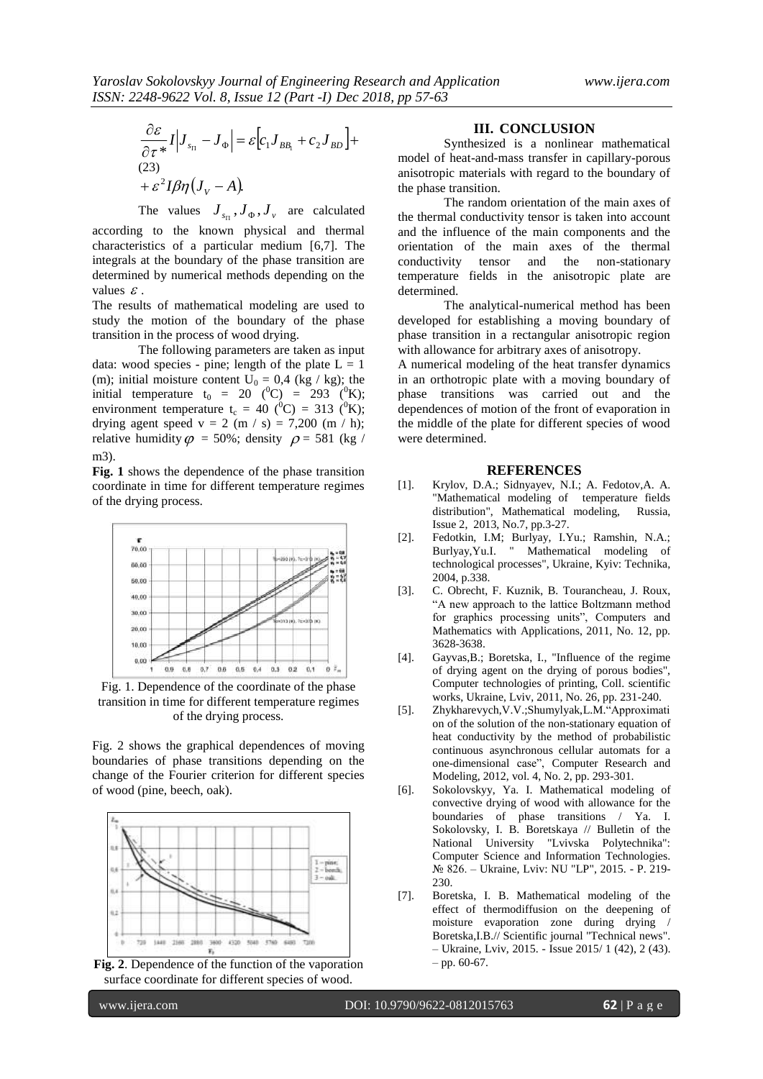$$
\frac{\partial \varepsilon}{\partial \tau^*} I |J_{s_{\Pi}} - J_{\Phi}| = \varepsilon [c_1 J_{BB_1} + c_2 J_{BD}] +
$$
  
(23)  

$$
+ \varepsilon^2 I \beta \eta (J_V - A).
$$

The values  $J_{s_{\Pi}}$ ,  $J_{\Phi}$ ,  $J_{\nu}$  are calculated

according to the known physical and thermal characteristics of a particular medium [6,7]. The integrals at the boundary of the phase transition are determined by numerical methods depending on the values  $\epsilon$ .

The results of mathematical modeling are used to study the motion of the boundary of the phase transition in the process of wood drying.

The following parameters are taken as input data: wood species - pine; length of the plate  $L = 1$ (m); initial moisture content  $U_0 = 0.4$  (kg / kg); the initial temperature t<sub>0</sub> = 20 (<sup>0</sup>C) = 293 (<sup>0</sup>K); environment temperature t<sub>c</sub> = 40 (<sup>0</sup>C) = 313 (<sup>0</sup>K); drying agent speed  $v = 2$  (m / s) = 7,200 (m / h); relative humidity  $\varphi = 50\%$ ; density  $\rho = 581$  (kg / m3).

**Fig. 1** shows the dependence of the phase transition coordinate in time for different temperature regimes of the drying process.



Fig. 1. Dependence of the coordinate of the phase transition in time for different temperature regimes of the drying process.

Fig. 2 shows the graphical dependences of moving boundaries of phase transitions depending on the change of the Fourier criterion for different species of wood (pine, beech, oak).



**Fig. 2**. Dependence of the function of the vaporation surface coordinate for different species of wood.

#### **III. CONCLUSION**

Synthesized is a nonlinear mathematical model of heat-and-mass transfer in capillary-porous anisotropic materials with regard to the boundary of the phase transition.

The random orientation of the main axes of the thermal conductivity tensor is taken into account and the influence of the main components and the orientation of the main axes of the thermal conductivity tensor and the non-stationary temperature fields in the anisotropic plate are determined.

The analytical-numerical method has been developed for establishing a moving boundary of phase transition in a rectangular anisotropic region with allowance for arbitrary axes of anisotropy.

A numerical modeling of the heat transfer dynamics in an orthotropic plate with a moving boundary of phase transitions was carried out and the dependences of motion of the front of evaporation in the middle of the plate for different species of wood were determined.

#### **REFERENCES**

- [1]. Krylov, D.A.; Sidnyayev, N.I.; A. Fedotov,A. A. "Mathematical modeling of temperature fields distribution", Mathematical modeling, Issue 2, 2013, No.7, pp.3-27.
- [2]. Fedotkin, I.M; Burlyay, I.Yu.; Ramshin, N.A.; Burlyay,Yu.I. " Mathematical modeling of technological processes", Ukraine, Kyiv: Technika, 2004, p.338.
- [3]. C. Obrecht, F. Kuznik, B. Tourancheau, J. Roux, "A new approach to the lattice Boltzmann method for graphics processing units", Computers and Mathematics with Applications, 2011, No. 12, pp. 3628-3638.
- [4]. Gayvas,B.; Boretska, I., "Influence of the regime of drying agent on the drying of porous bodies", Computer technologies of printing, Coll. scientific works, Ukraine, Lviv, 2011, No. 26, pp. 231-240.
- [5]. Zhykharevych,V.V.;Shumylyak,L.M."Approximati on of the solution of the non-stationary equation of heat conductivity by the method of probabilistic continuous asynchronous cellular automats for a one-dimensional case", Computer Research and Modeling, 2012, vol. 4, No. 2, pp. 293-301.
- [6]. Sokolovskyy, Ya. I. Mathematical modeling of convective drying of wood with allowance for the boundaries of phase transitions / Ya. I. Sokolovsky, I. B. Boretskaya // Bulletin of the National University "Lvivska Polytechnika": Computer Science and Information Technologies. № 826. – Ukraine, Lviv: NU "LP", 2015. - P. 219- 230.
- [7]. Boretska, I. B. Mathematical modeling of the effect of thermodiffusion on the deepening of moisture evaporation zone during drying / Boretska,I.B.// Scientific journal "Technical news". – Ukraine, Lviv, 2015. - Issue 2015/ 1 (42), 2 (43). – pp. 60-67.